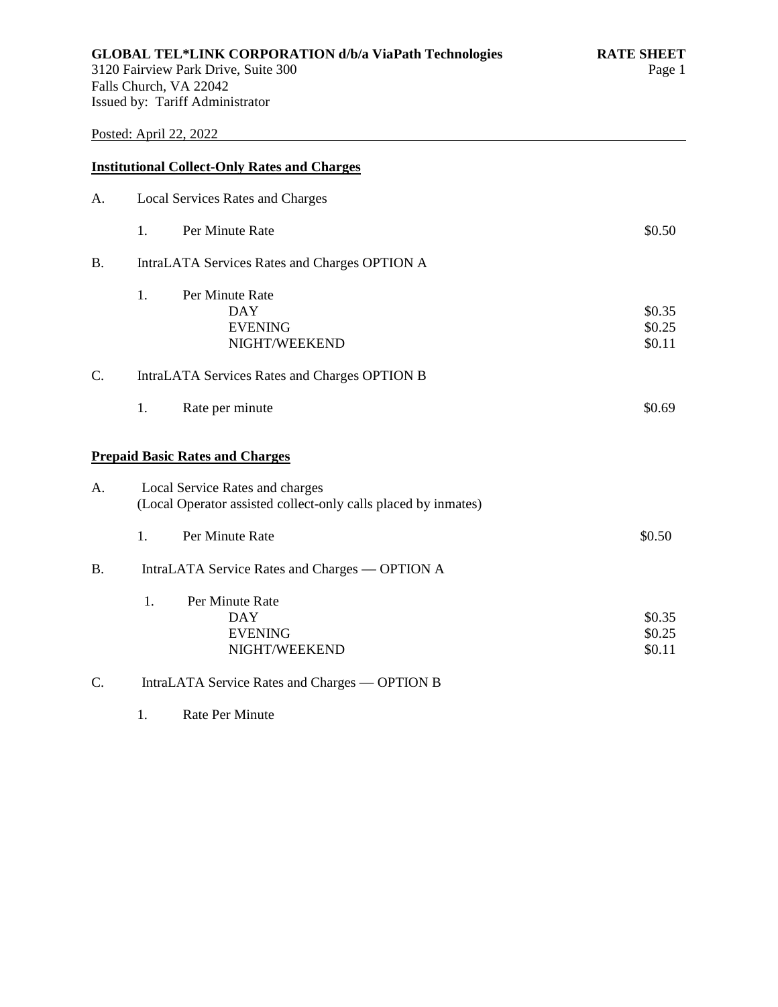# Posted: April 22, 2022

|                | <b>Institutional Collect-Only Rates and Charges</b>                                               |                            |
|----------------|---------------------------------------------------------------------------------------------------|----------------------------|
| A.             | <b>Local Services Rates and Charges</b>                                                           |                            |
|                | Per Minute Rate<br>1.                                                                             | \$0.50                     |
| <b>B.</b>      | IntraLATA Services Rates and Charges OPTION A                                                     |                            |
|                | 1.<br>Per Minute Rate<br><b>DAY</b><br><b>EVENING</b><br>NIGHT/WEEKEND                            | \$0.35<br>\$0.25<br>\$0.11 |
| C.             | IntraLATA Services Rates and Charges OPTION B                                                     |                            |
|                | 1.<br>Rate per minute                                                                             | \$0.69                     |
|                | <b>Prepaid Basic Rates and Charges</b>                                                            |                            |
| A <sub>1</sub> | Local Service Rates and charges<br>(Local Operator assisted collect-only calls placed by inmates) |                            |
|                | Per Minute Rate<br>1.                                                                             | \$0.50                     |
| <b>B.</b>      | IntraLATA Service Rates and Charges — OPTION A                                                    |                            |
|                | Per Minute Rate<br>1.<br><b>DAY</b><br><b>EVENING</b><br>NIGHT/WEEKEND                            | \$0.35<br>\$0.25<br>\$0.11 |
| C.             | IntraLATA Service Rates and Charges — OPTION B                                                    |                            |

1. Rate Per Minute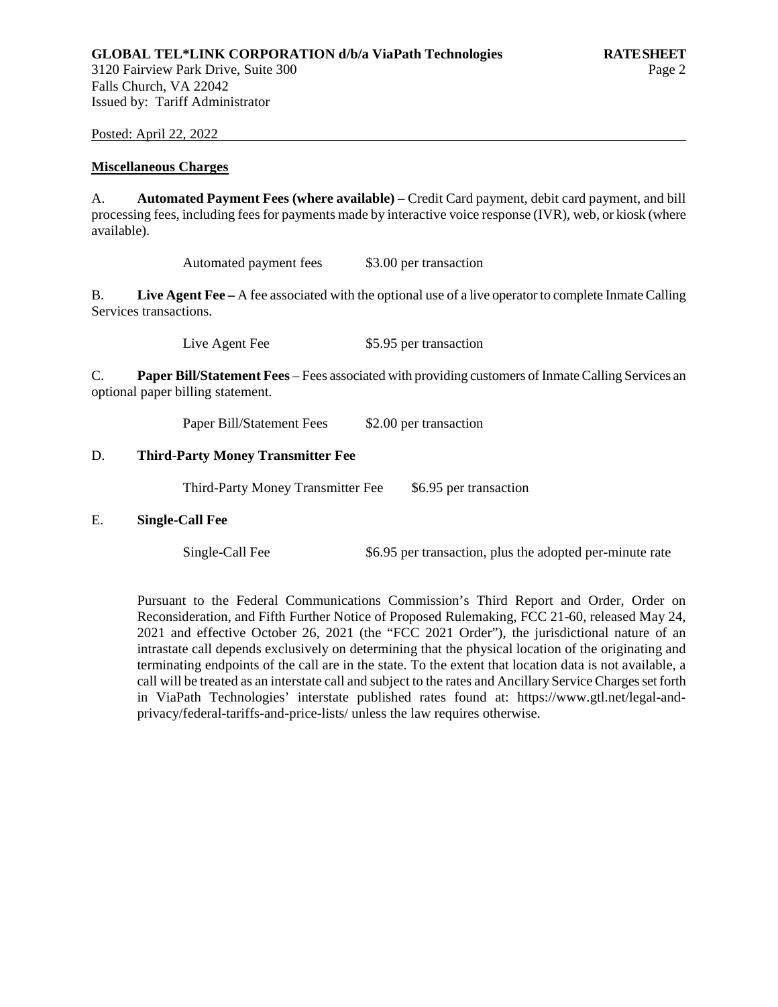Posted: April 22, 2022

#### **Miscellaneous Charges**

A. **Automated Payment Fees (where available) –** Credit Card payment, debit card payment, and bill processing fees, including fees for payments made by interactive voice response (IVR), web, or kiosk (where available).

Automated payment fees \$3.00 per transaction

B. **Live Agent Fee –** A fee associated with the optional use of a live operator to complete Inmate Calling Services transactions.

Live Agent Fee \$5.95 per transaction

C. **Paper Bill/Statement Fees** – Fees associated with providing customers of Inmate Calling Services an optional paper billing statement.

Paper Bill/Statement Fees \$2.00 per transaction

#### D. **Third-Party Money Transmitter Fee**

Third-Party Money Transmitter Fee \$6.95 per transaction

#### E. **Single-Call Fee**

Single-Call Fee  $$6.95$  per transaction, plus the adopted per-minute rate

Pursuant to the Federal Communications Commission's Third Report and Order, Order on Reconsideration, and Fifth Further Notice of Proposed Rulemaking, FCC 21-60, released May 24, 2021 and effective October 26, 2021 (the "FCC 2021 Order"), the jurisdictional nature of an intrastate call depends exclusively on determining that the physical location of the originating and terminating endpoints of the call are in the state. To the extent that location data is not available, a call will be treated as an interstate call and subject to the rates and Ancillary Service Charges set forth in ViaPath Technologies' interstate published rates found at: https://www.gtl.net/legal-andprivacy/federal-tariffs-and-price-lists/ unless the law requires otherwise.